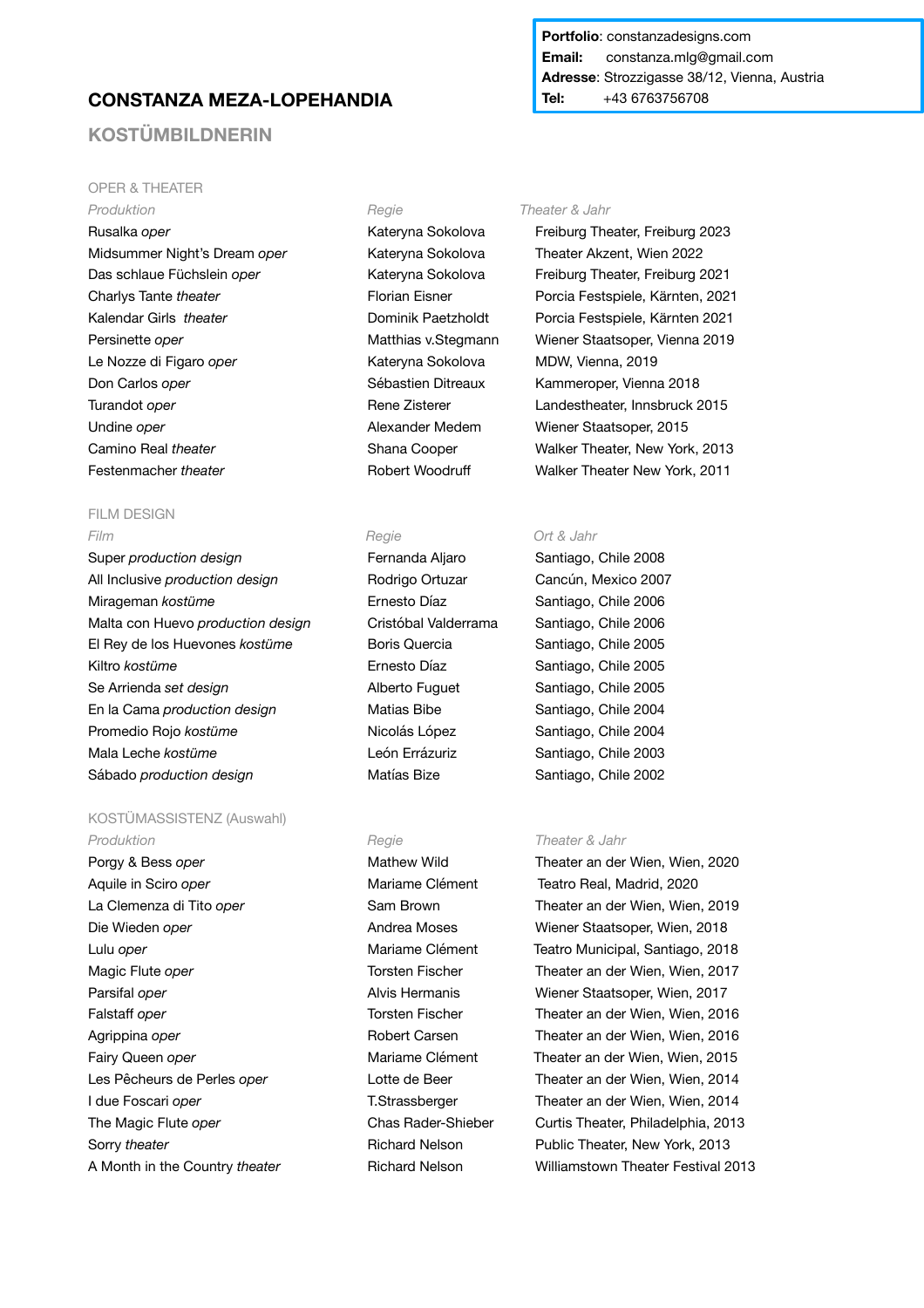# **CONSTANZA MEZA-LOPEHANDIA**

# **KOSTÜMBILDNERIN**

# OPER & THEATER

*Produktion Regie Theater & Jahr*  Rusalka *oper* Kateryna Sokolova Freiburg Theater, Freiburg 2023 Midsummer Night's Dream *oper* Kateryna Sokolova Theater Akzent, Wien 2022 Das schlaue Füchslein *oper* Kateryna Sokolova Freiburg Theater, Freiburg 2021 Le Nozze di Figaro *oper* Kateryna Sokolova MDW, Vienna, 2019 Don Carlos *oper* Sébastien Ditreaux Kammeroper, Vienna 2018 Turandot *oper* Turandot *oper* Rene Zisterer Landestheater, Innsbruck 2015 Undine *oper* Alexander Medem Wiener Staatsoper, 2015 Festenmacher *theater* Robert Woodruff Walker Theater New York, 2011

### FILM DESIGN *Film Regie Ort & Jahr*

Super *production design* Fernanda Aljaro Santiago, Chile 2008 All Inclusive *production design* Rodrigo Ortuzar Cancún, Mexico 2007 Mirageman *kostüme* Ernesto Díaz Santiago, Chile 2006 Malta con Huevo *production design* Cristóbal Valderrama Santiago, Chile 2006 El Rey de los Huevones *kostüme* Boris Quercia Santiago, Chile 2005 Kiltro *kostüme* **Ernesto Díaz** Santiago, Chile 2005 Se Arrienda set design **Sexual Exercise Sexual Alberto Fuguet** Santiago, Chile 2005 En la Cama *production design* Matias Bibe Santiago, Chile 2004 Promedio Rojo *kostüme* Nicolás López Santiago, Chile 2004 Mala Leche *kostüme* León Errázuriz Santiago, Chile 2003 Sábado *production design* Matías Bize Santiago, Chile 2002

# KOSTÜMASSISTENZ (Auswahl) **Produktion** *Regie Regie Theater & Jahr*

Porgy & Bess *oper* **Mathew Wild Constant Constant Integral Constant Constant Integral Constant Integral Constant Integral Property Constant Property Constant Integrated Constant Integrated Constant Integrated Constant I** Aquile in Sciro *oper* Mariame Clément Teatro Real, Madrid, 2020 Die Wieden *oper* **Andrea Moses** Miener Staatsoper, Wien, 2018 Parsifal *oper* **Alvis Hermanis Wiener Staatsoper, Wien, 2017** Alvis Hermanis **Wiener Staatsoper, Wien, 2017** Sorry *theater* **Richard Nelson Public Theater, New York, 2013** 

## **Portfolio**: constanzadesigns.com **Email:** constanza.mlg@gmail.com **Adresse**: Strozzigasse 38/12, Vienna, Austria **Tel:** +43 6763756708

Charlys Tante *theater* Florian Eisner Porcia Festspiele, Kärnten, 2021 Kalendar Girls *theater* Dominik Paetzholdt Porcia Festspiele, Kärnten 2021 Persinette *oper* Matthias v.Stegmann Wiener Staatsoper, Vienna 2019 Camino Real *theater* Shana Cooper Walker Theater, New York, 2013

La Clemenza di Tito *oper* Sam Brown **Sam Brown** Theater an der Wien, Wien, 2019 Lulu *oper* Mariame Clément Teatro Municipal, Santiago, 2018 Magic Flute *oper* Torsten Fischer **Theater an der Wien, Wien, 2017** Falstaff *oper* Torsten Fischer **Theater an der Wien, Wien, 2016** Theater an der Wien, 2016 Agrippina *oper* **Robert Carsen Robert Carsen Reader an der Wien, Wien, 2016** Fairy Queen *oper* Mariame Clément Theater an der Wien, Wien, 2015 Les Pêcheurs de Perles *oper* **Lotte de Beer Theater an der Wien, Wien, 2014** I due Foscari *oper* T.Strassberger Theater an der Wien, Wien, 2014 The Magic Flute *oper* **Chas Rader-Shieber** Curtis Theater, Philadelphia, 2013 A Month in the Country *theater* **Richard Nelson** Williamstown Theater Festival 2013